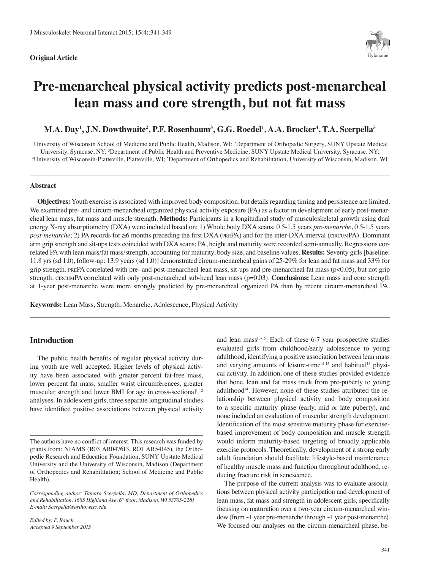#### **Original Article**



# **Pre-menarcheal physical activity predicts post-menarcheal lean mass and core strength, but not fat mass**

# $\mathbf{M.A.}\ \mathbf{Day^1, J.N.}\ \mathbf{Dowthwaite^2, P.F.}\ \mathbf{Rosenbaum^3, G.G.}\ \mathbf{Roedel^1, A.A.}\ \mathbf{Brocker^4, T.A.}\ \mathbf{Scerpella^5, J.A.}\ \mathbf{Coneqlo}$

<sup>1</sup>University of Wisconsin School of Medicine and Public Health, Madison, WI; <sup>2</sup>Department of Orthopedic Surgery, SUNY Upstate Medical University, Syracuse, NY; <sup>3</sup>Department of Public Health and Preventive Medicine, SUNY Upstate Medical University, Syracuse, NY;<br><sup>4</sup>University of Wisconsin, Platteville, Platteville, WJ: <sup>5</sup>Department of Orthopedics and Re University of Wisconsin-Platteville, Platteville, WI; <sup>5</sup>Department of Orthopedics and Rehabilitation, University of Wisconsin, Madison, WI

#### **Abstract**

**Objectives:** Youth exercise is associated with improved body composition, but details regarding timing and persistence are limited. We examined pre- and circum-menarcheal organized physical activity exposure (PA) as a factor in development of early post-menarcheal lean mass, fat mass and muscle strength. **Methods:** Participants in a longitudinal study of musculoskeletal growth using dual energy X-ray absorptiometry (DXA) were included based on: 1) Whole body DXA scans: 0.5-1.5 years *pre-menarche*, 0.5-1.5 years *post-menarche*; 2) PA records for ≥6 months preceding the first DXA (PREPA) and for the inter-DXA interval (CIRCUMPA). Dominant arm grip strength and sit-ups tests coincided with DXA scans; PA, height and maturity were recorded semi-annually. Regressions correlated PA with lean mass/fat mass/strength, accounting for maturity, body size, and baseline values. **Results:** Seventy girls [baseline: 11.8 yrs (sd 1.0), follow-up: 13.9 years (sd 1.0)] demonstrated circum-menarcheal gains of 25-29% for lean and fat mass and 33% for grip strength. prePA correlated with pre- and post-menarcheal lean mass, sit-ups and pre-menarcheal fat mass (p<0.05), but not grip strength. CIRCUMPA correlated with only post-menarcheal sub-head lean mass (p=0.03). **Conclusions:** Lean mass and core strength at 1-year post-menarche were more strongly predicted by pre-menarcheal organized PA than by recent circum-menarcheal PA.

**Keywords:** Lean Mass, Strength, Menarche, Adolescence, Physical Activity

## **Introduction**

The public health benefits of regular physical activity during youth are well accepted. Higher levels of physical activity have been associated with greater percent fat-free mass, lower percent fat mass, smaller waist circumferences, greater muscular strength and lower BMI for age in cross-sectional<sup>1-12</sup> analyses. In adolescent girls, three separate longitudinal studies have identified positive associations between physical activity

*Edited by: F. Rauch Accepted 9 September 2015* and lean mass $13-15$ . Each of these 6-7 year prospective studies evaluated girls from childhood/early adolescence to young adulthood, identifying a positive association between lean mass and varying amounts of leisure-time $14-15$  and habitual<sup>13</sup> physical activity. In addition, one of these studies provided evidence that bone, lean and fat mass track from pre-puberty to young adulthood<sup>14</sup>. However, none of these studies attributed the relationship between physical activity and body composition to a specific maturity phase (early, mid or late puberty), and none included an evaluation of muscular strength development. Identification of the most sensitive maturity phase for exercisebased improvement of body composition and muscle strength would inform maturity-based targeting of broadly applicable exercise protocols. Theoretically, development of a strong early adult foundation should facilitate lifestyle-based maintenance of healthy muscle mass and function throughout adulthood, reducing fracture risk in senescence.

The purpose of the current analysis was to evaluate associations between physical activity participation and development of lean mass, fat mass and strength in adolescent girls, specifically focusing on maturation over a two-year circum-menarcheal window (from ~1 year pre-menarche through ~1 year post-menarche). We focused our analyses on the circum-menarcheal phase, be-

The authors have no conflict of interest. This research was funded by grants from: NIAMS (R03 AR047613, RO1 AR54145), the Orthopedic Research and Education Foundation, SUNY Upstate Medical University and the University of Wisconsin, Madison (Department of Orthopedics and Rehabilitation; School of Medicine and Public Health).

*Corresponding author: Tamara Scerpella, MD, Department of Orthopedics and Rehabilitation, 1685 Highland Ave, 6th floor, Madison, WI 53705-2281 E-mail: Scerpella@ortho.wisc.edu*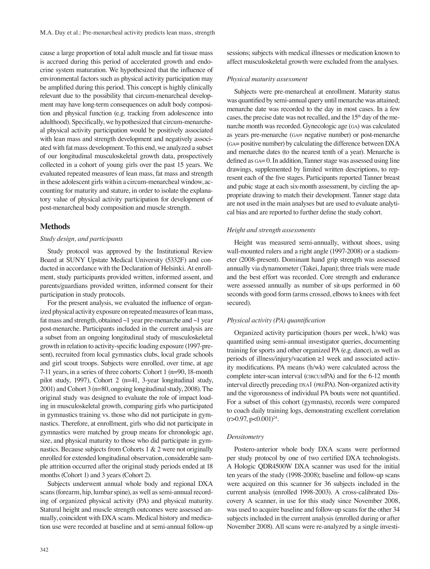cause a large proportion of total adult muscle and fat tissue mass is accrued during this period of accelerated growth and endocrine system maturation. We hypothesized that the influence of environmental factors such as physical activity participation may be amplified during this period. This concept is highly clinically relevant due to the possibility that circum-menarcheal development may have long-term consequences on adult body composition and physical function (e.g. tracking from adolescence into adulthood). Specifically, we hypothesized that circum-menarcheal physical activity participation would be positively associated with lean mass and strength development and negatively associated with fat mass development. To this end, we analyzed a subset of our longitudinal musculoskeletal growth data, prospectively collected in a cohort of young girls over the past 15 years. We evaluated repeated measures of lean mass, fat mass and strength in these adolescent girls within a circum-menarcheal window, accounting for maturity and stature, in order to isolate the explanatory value of physical activity participation for development of post-menarcheal body composition and muscle strength.

## **Methods**

## *Study design, and participants*

Study protocol was approved by the Institutional Review Board at SUNY Upstate Medical University (5332F) and conducted in accordance with the Declaration of Helsinki. At enrollment, study participants provided written, informed assent, and parents/guardians provided written, informed consent for their participation in study protocols.

For the present analysis, we evaluated the influence of organized physical activity exposure on repeated measures of lean mass, fat mass and strength, obtained  $\sim$ 1 year pre-menarche and  $\sim$ 1 year post-menarche. Participants included in the current analysis are a subset from an ongoing longitudinal study of musculoskeletal growth in relation to activity-specific loading exposure (1997-present), recruited from local gymnastics clubs, local grade schools and girl scout troops. Subjects were enrolled, over time, at age 7-11 years, in a series of three cohorts: Cohort 1 (n=90, 18-month pilot study, 1997), Cohort 2 (n=41, 3-year longitudinal study, 2001) and Cohort 3 (n=80, ongoing longitudinal study, 2008). The original study was designed to evaluate the role of impact loading in musculoskeletal growth, comparing girls who participated in gymnastics training vs. those who did not participate in gymnastics. Therefore, at enrollment, girls who did not participate in gymnastics were matched by group means for chronologic age, size, and physical maturity to those who did participate in gymnastics. Because subjects from Cohorts 1 & 2 were not originally enrolled for extended longitudinal observation, considerable sample attrition occurred after the original study periods ended at 18 months (Cohort 1) and 3 years (Cohort 2).

Subjects underwent annual whole body and regional DXA scans (forearm, hip, lumbar spine), as well as semi-annual recording of organized physical activity (PA) and physical maturity. Statural height and muscle strength outcomes were assessed annually, coincident with DXA scans. Medical history and medication use were recorded at baseline and at semi-annual follow-up

sessions; subjects with medical illnesses or medication known to affect musculoskeletal growth were excluded from the analyses.

#### *Physical maturity assessment*

Subjects were pre-menarcheal at enrollment. Maturity status was quantified by semi-annual query until menarche was attained; menarche date was recorded to the day in most cases. In a few cases, the precise date was not recalled, and the  $15<sup>th</sup>$  day of the menarche month was recorded. Gynecologic age (ga) was calculated as years pre-menarche (ga= negative number) or post-menarche (ga= positive number) by calculating the difference between DXA and menarche dates (to the nearest tenth of a year). Menarche is defined as  $Ga= 0$ . In addition, Tanner stage was assessed using line drawings, supplemented by limited written descriptions, to represent each of the five stages. Participants reported Tanner breast and pubic stage at each six-month assessment, by circling the appropriate drawing to match their development. Tanner stage data are not used in the main analyses but are used to evaluate analytical bias and are reported to further define the study cohort.

#### *Height and strength assessments*

Height was measured semi-annually, without shoes, using wall-mounted rulers and a right angle (1997-2008) or a stadiometer (2008-present). Dominant hand grip strength was assessed annually via dynamometer (Takei, Japan); three trials were made and the best effort was recorded. Core strength and endurance were assessed annually as number of sit-ups performed in 60 seconds with good form (arms crossed, elbows to knees with feet secured).

## *Physical activity (PA) quantification*

Organized activity participation (hours per week, h/wk) was quantified using semi-annual investigator queries, documenting training for sports and other organized PA (e.g. dance), as well as periods of illness/injury/vacation ≥1 week and associated activity modifications. PA means (h/wk) were calculated across the complete inter-scan interval (circumPA) and for the 6-12 month interval directly preceding  $DX$ <sup>1</sup> (PREPA). Non-organized activity and the vigorousness of individual PA bouts were not quantified. For a subset of this cohort (gymnasts), records were compared to coach daily training logs, demonstrating excellent correlation  $(r>0.97, p<0.001)^{24}$ .

## *Densitometry*

Postero-anterior whole body DXA scans were performed per study protocol by one of two certified DXA technologists. A Hologic QDR4500W DXA scanner was used for the initial ten years of the study (1998-2008); baseline and follow-up scans were acquired on this scanner for 36 subjects included in the current analysis (enrolled 1998-2003). A cross-calibrated Discovery A scanner, in use for this study since November 2008, was used to acquire baseline and follow-up scans for the other 34 subjects included in the current analysis (enrolled during or after November 2008). All scans were re-analyzed by a single investi-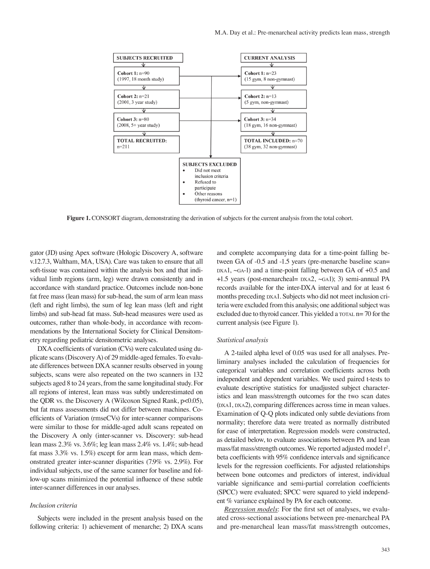

**Figure 1.** CONSORT diagram, demonstrating the derivation of subjects for the current analysis from the total cohort.

gator (JD) using Apex software (Hologic Discovery A, software v.12.7.3, Waltham, MA, USA). Care was taken to ensure that all soft-tissue was contained within the analysis box and that individual limb regions (arm, leg) were drawn consistently and in accordance with standard practice. Outcomes include non-bone fat free mass (lean mass) for sub-head, the sum of arm lean mass (left and right limbs), the sum of leg lean mass (left and right limbs) and sub-head fat mass. Sub-head measures were used as outcomes, rather than whole-body, in accordance with recommendations by the International Society for Clinical Densitometry regarding pediatric densitometric analyses.

DXA coefficients of variation (CVs) were calculated using duplicate scans (Discovery A) of 29 middle-aged females. To evaluate differences between DXA scanner results observed in young subjects, scans were also repeated on the two scanners in 132 subjects aged 8 to 24 years, from the same longitudinal study. For all regions of interest, lean mass was subtly underestimated on the QDR vs. the Discovery A (Wilcoxon Signed Rank, p<0.05), but fat mass assessments did not differ between machines. Coefficients of Variation (rmseCVs) for inter-scanner comparisons were similar to those for middle-aged adult scans repeated on the Discovery A only (inter-scanner vs. Discovery: sub-head lean mass 2.3% vs. 3.6%; leg lean mass 2.4% vs. 1.4%; sub-head fat mass 3.3% vs. 1.5%) except for arm lean mass, which demonstrated greater inter-scanner disparities (7.9% vs. 2.9%). For individual subjects, use of the same scanner for baseline and follow-up scans minimized the potential influence of these subtle inter-scanner differences in our analyses.

#### *Inclusion criteria*

Subjects were included in the present analysis based on the following criteria: 1) achievement of menarche; 2) DXA scans and complete accompanying data for a time-point falling between GA of -0.5 and -1.5 years (pre-menarche baseline scan=  $daxA1$ ,  $\sim$ GA-1) and a time-point falling between GA of +0.5 and  $+1.5$  years (post-menarcheal=  $DXA2$ ,  $~GA1$ ); 3) semi-annual PA records available for the inter-DXA interval and for at least 6 months preceding  $DXA1$ . Subjects who did not meet inclusion criteria were excluded from this analysis; one additional subject was excluded due to thyroid cancer. This yielded a  $\text{total}$  n= 70 for the current analysis (see Figure 1).

#### *Statistical analysis*

A 2-tailed alpha level of 0.05 was used for all analyses. Preliminary analyses included the calculation of frequencies for categorical variables and correlation coefficients across both independent and dependent variables. We used paired t-tests to evaluate descriptive statistics for unadjusted subject characteristics and lean mass/strength outcomes for the two scan dates (DXA1, DXA2), comparing differences across time in mean values. Examination of Q-Q plots indicated only subtle deviations from normality; therefore data were treated as normally distributed for ease of interpretation. Regression models were constructed, as detailed below, to evaluate associations between PA and lean mass/fat mass/strength outcomes. We reported adjusted model r<sup>2</sup>, beta coefficients with 95% confidence intervals and significance levels for the regression coefficients. For adjusted relationships between bone outcomes and predictors of interest, individual variable significance and semi-partial correlation coefficients (SPCC) were evaluated; SPCC were squared to yield independent % variance explained by PA for each outcome.

*Regression models*: For the first set of analyses, we evaluated cross-sectional associations between pre-menarcheal PA and pre-menarcheal lean mass/fat mass/strength outcomes,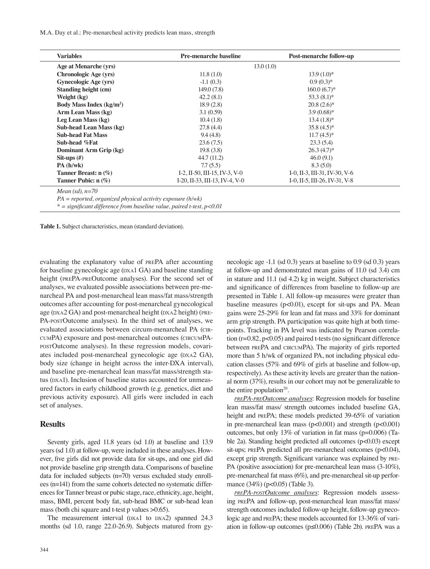M.A. Day et al.: Pre-menarcheal activity predicts lean mass, strength

| <b>Variables</b>             | <b>Pre-menarche baseline</b>                | <b>Post-menarche follow-up</b> |
|------------------------------|---------------------------------------------|--------------------------------|
| Age at Menarche (yrs)        |                                             | 13.0(1.0)                      |
| Chronologic Age (yrs)        | 11.8(1.0)                                   | $13.9(1.0)^{*}$                |
| <b>Gynecologic Age (yrs)</b> | $-1.1(0.3)$                                 | $0.9(0.3)*$                    |
| <b>Standing height (cm)</b>  | 149.0(7.8)                                  | $160.0(6.7)^{*}$               |
| Weight (kg)                  | 42.2(8.1)                                   | $53.3(8.1)$ *                  |
| Body Mass Index $(kg/m2)$    | 18.9(2.8)                                   | $20.8(2.6)$ *                  |
| Arm Lean Mass (kg)           | 3.1(0.59)                                   | $3.9(0.68)$ *                  |
| Leg Lean Mass (kg)           | 10.4(1.8)                                   | $13.4(1.8)$ *                  |
| Sub-head Lean Mass (kg)      | 27.8(4.4)                                   | $35.8(4.5)^*$                  |
| <b>Sub-head Fat Mass</b>     | 9.4(4.8)                                    | $11.7(4.5)^*$                  |
| Sub-head %Fat                | 23.6(7.5)                                   | 23.3(5.4)                      |
| Dominant Arm Grip (kg)       | 19.8(3.8)                                   | $26.3(4.7)^*$                  |
| Sit-ups $(\#)$               | 44.7 (11.2)                                 | 46.0(9.1)                      |
| PA(h/wk)                     | 7.7(5.5)                                    | 8.3(5.0)                       |
| Tanner Breast: $n$ (%)       | $I-2$ , $II-50$ , $III-15$ , $IV-3$ , $V-0$ | I-0, II-3, III-31, IV-30, V-6  |
| Tanner Pubic: $n$ (%)        | I-20, II-33, III-13, IV-4, V-0              | I-0, II-5, III-26, IV-31, V-8  |

*PA = reported, organized physical activity exposure (h/wk)* 

*\* = significant difference from baseline value, paired t-test, p<0.01*

**Table 1.** Subject characteristics, mean (standard deviation).

evaluating the explanatory value of prePA after accounting for baseline gynecologic age (DXA1 GA) and baseline standing height (prePA-preOutcome analyses). For the second set of analyses, we evaluated possible associations between pre-menarcheal PA and post-menarcheal lean mass/fat mass/strength outcomes after accounting for post-menarcheal gynecological age (DXA2 GA) and post-menarcheal height (DXA2 height) (PRE-PA-postOutcome analyses). In the third set of analyses, we evaluated associations between circum-menarcheal PA (circumPA) exposure and post-menarcheal outcomes (circumPApostOutcome analyses). In these regression models, covariates included post-menarcheal gynecologic age (DXA2 GA), body size (change in height across the inter-DXA interval), and baseline pre-menarcheal lean mass/fat mass/strength status (DXA1). Inclusion of baseline status accounted for unmeasured factors in early childhood growth (e.g. genetics, diet and previous activity exposure). All girls were included in each set of analyses.

## **Results**

Seventy girls, aged 11.8 years (sd 1.0) at baseline and 13.9 years (sd 1.0) at follow-up, were included in these analyses. However, five girls did not provide data for sit-ups, and one girl did not provide baseline grip strength data. Comparisons of baseline data for included subjects (n=70) versus excluded study enrollees (n=141) from the same cohorts detected no systematic differences for Tanner breast or pubic stage, race, ethnicity, age, height, mass, BMI, percent body fat, sub-head BMC or sub-head lean mass (both chi square and t-test p values >0.65).

The measurement interval (DXA1 to DXA2) spanned 24.3 months (sd 1.0, range 22.0-26.9). Subjects matured from gybaseline measures (p<0.01), except for sit-ups and PA. Mean gains were 25-29% for lean and fat mass and 33% for dominant arm grip strength. PA participation was quite high at both timepoints. Tracking in PA level was indicated by Pearson correlation (r=0.82, p<0.05) and paired t-tests (no significant difference between prePA and circumPA). The majority of girls reported more than 5 h/wk of organized PA, not including physical education classes (57% and 69% of girls at baseline and follow-up, respectively). As these activity levels are greater than the national norm (37%), results in our cohort may not be generalizable to the entire population<sup>20</sup>. *prePA-preOutcome analyses*: Regression models for baseline lean mass/fat mass/ strength outcomes included baseline GA, height and prePA; these models predicted 39-65% of variation in pre-menarcheal lean mass (p<0.001) and strength (p<0.001)

outcomes, but only 13% of variation in fat mass (p=0.006) (Table 2a). Standing height predicted all outcomes (p<0.03) except sit-ups; PREPA predicted all pre-menarcheal outcomes (p<0.04), except grip strength. Significant variance was explained by pre-PA (positive association) for pre-menarcheal lean mass (3-10%), pre-menarcheal fat mass (6%), and pre-menarcheal sit-up performance (34%) (p<0.05) (Table 3).

necologic age -1.1 (sd 0.3) years at baseline to 0.9 (sd 0.3) years at follow-up and demonstrated mean gains of 11.0 (sd 3.4) cm in stature and 11.1 (sd 4.2) kg in weight. Subject characteristics and significance of differences from baseline to follow-up are presented in Table 1. All follow-up measures were greater than

*prePA-postOutcome analyses*: Regression models assessing prePA and follow-up, post-menarcheal lean mass/fat mass/ strength outcomes included follow-up height, follow-up gynecologic age and prePA; these models accounted for 13-36% of variation in follow-up outcomes (p≤0.006) (Table 2b). prePA was a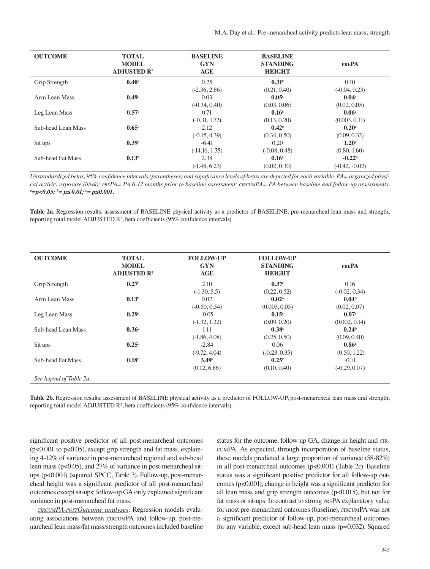| <b>OUTCOME</b>           | <b>TOTAL</b><br><b>MODEL</b><br>ADJUSTED $\mathbb{R}^2$ | <b>BASELINE</b><br><b>GYN</b><br>AGE | <b>BASELINE</b><br><b>STANDING</b><br>HEIGHT | <b>PREPA</b>      |
|--------------------------|---------------------------------------------------------|--------------------------------------|----------------------------------------------|-------------------|
| Grip Strength            | 0.40 <sup>c</sup>                                       | 0.25                                 | 0.31 <sup>c</sup>                            | 0.10              |
|                          |                                                         | $(-2.36, 2.86)$                      | (0.21, 0.40)                                 | $(-0.04, 0.23)$   |
| Arm Lean Mass            | 0.49 <sup>c</sup>                                       | 0.03                                 | 0.05 <sup>c</sup>                            | 0.04 <sup>c</sup> |
|                          |                                                         | $(-0.34, 0.40)$                      | (0.03, 0.06)                                 | (0.02, 0.05)      |
| Leg Lean Mass            | 0.57 <sup>c</sup>                                       | 0.71                                 | 0.16 <sup>c</sup>                            | 0.06 <sup>a</sup> |
|                          |                                                         | $(-0.31, 1.72)$                      | (0.13, 0.20)                                 | (0.003, 0.11)     |
| Sub-head Lean Mass       | $0.65^{\circ}$                                          | 2.12                                 | $0.42^{\circ}$                               | 0.20 <sup>c</sup> |
|                          |                                                         | $(-0.15, 4.39)$                      | (0.34, 0.50)                                 | (0.09, 0.32)      |
| Sit ups                  | 0.39 <sup>c</sup>                                       | $-6.41$                              | 0.20                                         | 1.20 <sup>c</sup> |
|                          |                                                         | $(-14.16, 1.35)$                     | $(-0.08, 0.48)$                              | (0.80, 1.60)      |
| <b>Sub-head Fat Mass</b> | 0.13 <sup>b</sup>                                       | 2.38                                 | 0.16 <sup>a</sup>                            | $-0.22^{\rm a}$   |
|                          |                                                         | $(-1.48, 6.23)$                      | (0.02, 0.30)                                 | $(-0.42, -0.02)$  |

*Unstandardized betas, 95% confidence intervals (parentheses) and significance levels of betas are depicted for each variable. PA= organized physical activity exposure (h/wk); prePA= PA 6-12 months prior to baseline assessment; circumPA= PA between baseline and follow-up assessments. a =p<0.05; b = p≤ 0.01; <sup>c</sup> = p≤0.001.*

**Table 2a.** Regression results: assessment of BASELINE physical activity as a predictor of BASELINE, pre-menarcheal lean mass and strength, reporting total model ADJUSTED R<sup>2</sup>, beta coefficients (95% confidence intervals).

| <b>OUTCOME</b>     | <b>TOTAL</b><br><b>MODEL</b><br><b>ADJUSTED R<sup>2</sup></b> | <b>FOLLOW-UP</b><br><b>GYN</b><br>AGE | <b>FOLLOW-UP</b><br><b>STANDING</b><br>HEIGHT | <b>PREPA</b>      |
|--------------------|---------------------------------------------------------------|---------------------------------------|-----------------------------------------------|-------------------|
| Grip Strength      | 0.27 <sup>c</sup>                                             | 2.10                                  | 0.37 <sup>c</sup>                             | 0.16              |
|                    |                                                               | $(-1.30, 5.5)$                        | (0.22, 0.52)                                  | $(-0.02, 0.34)$   |
| Arm Lean Mass      | 0.13 <sup>b</sup>                                             | 0.02                                  | $0.02^{\rm a}$                                | 0.04 <sup>b</sup> |
|                    |                                                               | $(-0.50, 0.54)$                       | (0.003, 0.05)                                 | (0.02, 0.07)      |
| Leg Lean Mass      | 0.29 <sup>c</sup>                                             | $-0.05$                               | 0.15 <sup>c</sup>                             | 0.07 <sup>a</sup> |
|                    |                                                               | $(-1.32, 1.22)$                       | (0.09, 0.20)                                  | (0.002, 0.14)     |
| Sub-head Lean Mass | 0.36 <sup>c</sup>                                             | 1.11                                  | 0.38 <sup>c</sup>                             | 0.24 <sup>b</sup> |
|                    |                                                               | $(-1.86, 4.08)$                       | (0.25, 0.50)                                  | (0.09, 0.40)      |
| Sit ups            | 0.25 <sup>c</sup>                                             | $-2.84$                               | 0.06                                          | 0.86 <sup>c</sup> |
|                    |                                                               | $(-9.72, 4.04)$                       | $(-0.23, 0.35)$                               | (0.50, 1.22)      |
| Sub-head Fat Mass  | 0.18 <sup>c</sup>                                             | $3.49^{\rm a}$                        | 0.25 <sup>c</sup>                             | $-0.11$           |
|                    |                                                               | (0.12, 6.86)                          | (0.10, 0.40)                                  | $(-0.29, 0.07)$   |

**Table 2b.** Regression results: assessment of BASELINE physical activity as a predictor of FOLLOW-UP, post-menarcheal lean mass and strength, reporting total model ADJUSTED R<sup>2</sup>, beta coefficients (95% confidence intervals).

significant positive predictor of all post-menarcheal outcomes (p<0.001 to p<0.05), except grip strength and fat mass, explaining 4-12% of variance in post-menarcheal regional and sub-head lean mass (p<0.05), and 27% of variance in post-menarcheal situps (p<0.001) (squared SPCC, Table 3). Follow-up, post-menarcheal height was a significant predictor of all post-menarcheal outcomes except sit-ups; follow-up GA only explained significant variance in post-menarcheal fat mass.

*circumPA-postOutcome analyses*: Regression models evaluating associations between circumPA and follow-up, post-menarcheal lean mass/fat mass/strength outcomes included baseline status for the outcome, follow-up GA, change in height and circumPA. As expected, through incorporation of baseline status, these models predicted a large proportion of variance (58-82%) in all post-menarcheal outcomes (p<0.001) (Table 2c). Baseline status was a significant positive predictor for all follow-up outcomes (p<0.001); change in height was a significant predictor for all lean mass and grip strength outcomes (p<0.015), but not for fat mass or sit-ups. In contrast to strong prePA explanatory value for most pre-menarcheal outcomes (baseline), circumPA was not a significant predictor of follow-up, post-menarcheal outcomes for any variable, except sub-head lean mass (p=0.032). Squared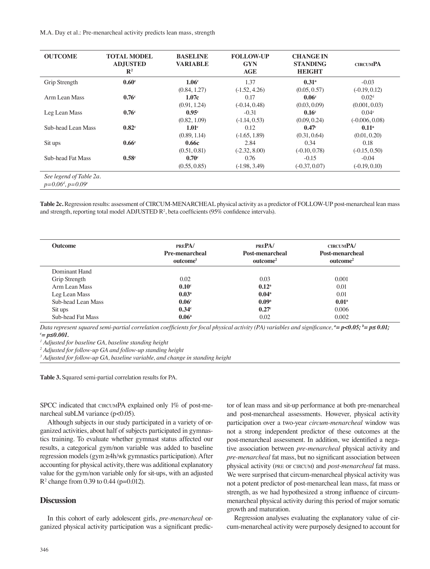M.A. Day et al.: Pre-menarcheal activity predicts lean mass, strength

| <b>OUTCOME</b>           | <b>TOTAL MODEL</b><br><b>ADJUSTED</b><br>$\mathbb{R}^2$ | <b>BASELINE</b><br><b>VARIABLE</b> | <b>FOLLOW-UP</b><br><b>GYN</b><br>AGE | <b>CHANGE IN</b><br><b>STANDING</b><br>HEIGHT | <b>CIRCUMPA</b>   |
|--------------------------|---------------------------------------------------------|------------------------------------|---------------------------------------|-----------------------------------------------|-------------------|
| Grip Strength            | 0.60 <sup>c</sup>                                       | 1.06 <sup>c</sup>                  | 1.37                                  | $0.31$ <sup>a</sup>                           | $-0.03$           |
|                          |                                                         | (0.84, 1.27)                       | $(-1.52, 4.26)$                       | (0.05, 0.57)                                  | $(-0.19, 0.12)$   |
| Arm Lean Mass            | 0.76 <sup>c</sup>                                       | 1.07c                              | 0.17                                  | 0.06 <sup>c</sup>                             | 0.02 <sup>d</sup> |
|                          |                                                         | (0.91, 1.24)                       | $(-0.14, 0.48)$                       | (0.03, 0.09)                                  | (0.001, 0.03)     |
| Leg Lean Mass            | 0.76 <sup>c</sup>                                       | 0.95 <sup>c</sup>                  | $-0.31$                               | 0.16 <sup>c</sup>                             | 0.04 <sup>e</sup> |
|                          |                                                         | (0.82, 1.09)                       | $(-1.14, 0.53)$                       | (0.09, 0.24)                                  | $(-0.006, 0.08)$  |
| Sub-head Lean Mass       | 0.82 <sup>c</sup>                                       | 1.01 <sup>c</sup>                  | 0.12                                  | 0.47 <sup>c</sup>                             | 0.11 <sup>a</sup> |
|                          |                                                         | (0.89, 1.14)                       | $(-1.65, 1.89)$                       | (0.31, 0.64)                                  | (0.01, 0.20)      |
| Sit ups                  | 0.66 <sup>c</sup>                                       | 0.66c                              | 2.84                                  | 0.34                                          | 0.18              |
|                          |                                                         | (0.51, 0.81)                       | $(-2.32, 8.00)$                       | $(-0.10, 0.78)$                               | $(-0.15, 0.50)$   |
| <b>Sub-head Fat Mass</b> | 0.58 <sup>c</sup>                                       | 0.70 <sup>c</sup>                  | 0.76                                  | $-0.15$                                       | $-0.04$           |
|                          |                                                         | (0.55, 0.85)                       | $(-1.98, 3.49)$                       | $(-0.37, 0.07)$                               | $(-0.19, 0.10)$   |

**Table 2c.** Regression results: assessment of CIRCUM-MENARCHEAL physical activity as a predictor of FOLLOW-UP post-menarcheal lean mass and strength, reporting total model ADJUSTED R<sup>2</sup>, beta coefficients (95% confidence intervals).

| <b>Outcome</b>     | PREPA/<br><b>Pre-menarcheal</b><br>outcome <sup>1</sup> | PREPA/<br>Post-menarcheal<br>outcome <sup>2</sup> | <b>CIRCUMPA/</b><br>Post-menarcheal<br>outcome <sup>2</sup> |
|--------------------|---------------------------------------------------------|---------------------------------------------------|-------------------------------------------------------------|
| Dominant Hand      |                                                         |                                                   |                                                             |
| Grip Strength      | 0.02                                                    | 0.03                                              | 0.001                                                       |
| Arm Lean Mass      | 0.10 <sup>c</sup>                                       | 0.12 <sup>a</sup>                                 | 0.01                                                        |
| Leg Lean Mass      | 0.03 <sup>a</sup>                                       | 0.04 <sup>a</sup>                                 | 0.01                                                        |
| Sub-head Lean Mass | 0.06 <sup>c</sup>                                       | 0.09 <sup>a</sup>                                 | 0.01 <sup>a</sup>                                           |
| Sit ups            | 0.34 <sup>c</sup>                                       | 0.27 <sup>c</sup>                                 | 0.006                                                       |
| Sub-head Fat Mass  | 0.06 <sup>a</sup>                                       | 0.02                                              | 0.002                                                       |

*Data represent squared semi-partial correlation coefficients for focal physical activity (PA) variables and significance, <sup>a</sup>= p<0.05; <sup>b</sup>= p≤ 0.01; c = p≤0.001.*

*1 Adjusted for baseline GA, baseline standing height* 

*2 Adjusted for follow-up GA and follow-up standing height* 

*3 Adjusted for follow-up GA, baseline variable, and change in standing height*

**Table 3.** Squared semi-partial correlation results for PA.

SPCC indicated that CIRCUMPA explained only 1% of post-menarcheal subLM variance (p<0.05).

Although subjects in our study participated in a variety of organized activities, about half of subjects participated in gymnastics training. To evaluate whether gymnast status affected our results, a categorical gym/non variable was added to baseline regression models (gym ≥4h/wk gymnastics participation). After accounting for physical activity, there was additional explanatory value for the gym/non variable only for sit-ups, with an adjusted R2 change from 0.39 to 0.44 (p=0.012).

## **Discussion**

In this cohort of early adolescent girls, *pre-menarcheal* organized physical activity participation was a significant predictor of lean mass and sit-up performance at both pre-menarcheal and post-menarcheal assessments. However, physical activity participation over a two-year *circum-menarcheal* window was not a strong independent predictor of these outcomes at the post-menarcheal assessment. In addition, we identified a negative association between *pre-menarcheal* physical activity and *pre-menarcheal* fat mass, but no significant association between physical activity (pre or circum) and *post-menarcheal* fat mass. We were surprised that circum-menarcheal physical activity was not a potent predictor of post-menarcheal lean mass, fat mass or strength, as we had hypothesized a strong influence of circummenarcheal physical activity during this period of major somatic growth and maturation.

Regression analyses evaluating the explanatory value of circum-menarcheal activity were purposely designed to account for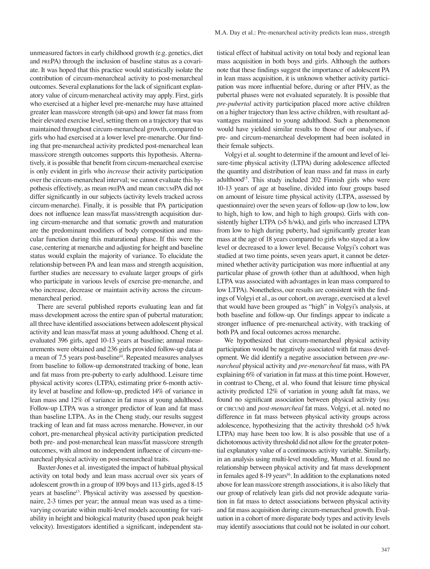unmeasured factors in early childhood growth (e.g. genetics, diet and prePA) through the inclusion of baseline status as a covariate. It was hoped that this practice would statistically isolate the contribution of circum-menarcheal activity to post-menarcheal outcomes. Several explanations for the lack of significant explanatory value of circum-menarcheal activity may apply. First, girls who exercised at a higher level pre-menarche may have attained greater lean mass/core strength (sit-ups) and lower fat mass from their elevated exercise level, setting them on a trajectory that was maintained throughout circum-menarcheal growth, compared to girls who had exercised at a lower level pre-menarche. Our finding that pre-menarcheal activity predicted post-menarcheal lean mass/core strength outcomes supports this hypothesis. Alternatively, it is possible that benefit from circum-menarcheal exercise is only evident in girls who *increase* their activity participation over the circum-menarcheal interval; we cannot evaluate this hypothesis effectively, as mean prePA and mean circumPA did not differ significantly in our subjects (activity levels tracked across circum-menarche). Finally, it is possible that PA participation does not influence lean mass/fat mass/strength acquisition during circum-menarche and that somatic growth and maturation are the predominant modifiers of body composition and muscular function during this maturational phase. If this were the case, centering at menarche and adjusting for height and baseline status would explain the majority of variance. To elucidate the relationship between PA and lean mass and strength acquisition, further studies are necessary to evaluate larger groups of girls who participate in various levels of exercise pre-menarche, and who increase, decrease or maintain activity across the circummenarcheal period.

There are several published reports evaluating lean and fat mass development across the entire span of pubertal maturation; all three have identified associations between adolescent physical activity and lean mass/fat mass at young adulthood. Cheng et al. evaluated 396 girls, aged 10-13 years at baseline; annual measurements were obtained and 236 girls provided follow-up data at a mean of 7.5 years post-baseline<sup>14</sup>. Repeated measures analyses from baseline to follow-up demonstrated tracking of bone, lean and fat mass from pre-puberty to early adulthood. Leisure time physical activity scores (LTPA), estimating prior 6-month activity level at baseline and follow-up, predicted 14% of variance in lean mass and 12% of variance in fat mass at young adulthood. Follow-up LTPA was a stronger predictor of lean and fat mass than baseline LTPA. As in the Cheng study, our results suggest tracking of lean and fat mass across menarche. However, in our cohort, pre-menarcheal physical activity participation predicted both pre- and post-menarcheal lean mass/fat mass/core strength outcomes, with almost no independent influence of circum-menarcheal physical activity on post-menarcheal traits.

Baxter-Jones et al. investigated the impact of habitual physical activity on total body and lean mass accrual over six years of adolescent growth in a group of 109 boys and 113 girls, aged 8-15 years at baseline<sup>13</sup>. Physical activity was assessed by questionnaire, 2-3 times per year; the annual mean was used as a timevarying covariate within multi-level models accounting for variability in height and biological maturity (based upon peak height velocity). Investigators identified a significant, independent statistical effect of habitual activity on total body and regional lean mass acquisition in both boys and girls. Although the authors note that these findings suggest the importance of adolescent PA in lean mass acquisition, it is unknown whether activity participation was more influential before, during or after PHV, as the pubertal phases were not evaluated separately. It is possible that *pre-pubertal* activity participation placed more active children on a higher trajectory than less active children, with resultant advantages maintained to young adulthood. Such a phenomenon would have yielded similar results to those of our analyses, if pre- and circum-menarcheal development had been isolated in their female subjects.

Volgyi et al. sought to determine if the amount and level of leisure-time physical activity (LTPA) during adolescence affected the quantity and distribution of lean mass and fat mass in early adulthood<sup>15</sup>. This study included 202 Finnish girls who were 10-13 years of age at baseline, divided into four groups based on amount of leisure time physical activity (LTPA, assessed by questionnaire) over the seven years of follow-up (low to low, low to high, high to low, and high to high groups). Girls with consistently higher LTPA (>5 h/wk), and girls who increased LTPA from low to high during puberty, had significantly greater lean mass at the age of 18 years compared to girls who stayed at a low level or decreased to a lower level. Because Volgyi's cohort was studied at two time points, seven years apart, it cannot be determined whether activity participation was more influential at any particular phase of growth (other than at adulthood, when high LTPA was associated with advantages in lean mass compared to low LTPA). Nonetheless, our results are consistent with the findings of Volgyi et al., as our cohort, on average, exercised at a level that would have been grouped as "high" in Volgyi's analysis, at both baseline and follow-up. Our findings appear to indicate a stronger influence of pre-menarcheal activity, with tracking of both PA and focal outcomes across menarche.

We hypothesized that circum-menarcheal physical activity participation would be negatively associated with fat mass development. We did identify a negative association between *pre-menarcheal* physical activity and *pre-menarcheal* fat mass, with PA explaining 6% of variation in fat mass at this time point. However, in contrast to Cheng, et al. who found that leisure time physical activity predicted 12% of variation in young adult fat mass, we found no significant association between physical activity (pre or circum) and *post-menarcheal* fat mass. Volgyi, et al. noted no difference in fat mass between physical activity groups across adolescence, hypothesizing that the activity threshold (>5 h/wk LTPA) may have been too low. It is also possible that use of a dichotomous activity threshold did not allow for the greater potential explanatory value of a continuous activity variable. Similarly, in an analysis using multi-level modeling, Mundt et al. found no relationship between physical activity and fat mass development in females aged 8-19 years<sup>16</sup>. In addition to the explanations noted above for lean mass/core strength associations, it is also likely that our group of relatively lean girls did not provide adequate variation in fat mass to detect associations between physical activity and fat mass acquisition during circum-menarcheal growth. Evaluation in a cohort of more disparate body types and activity levels may identify associations that could not be isolated in our cohort.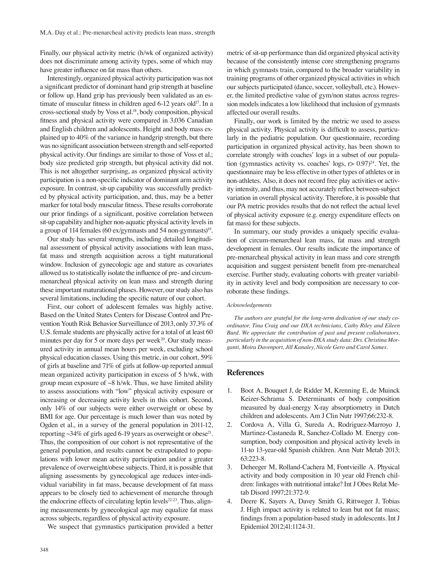Finally, our physical activity metric (h/wk of organized activity) does not discriminate among activity types, some of which may have greater influence on fat mass than others.

Interestingly, organized physical activity participation was not a significant predictor of dominant hand grip strength at baseline or follow up. Hand grip has previously been validated as an estimate of muscular fitness in children aged 6-12 years old<sup>17</sup>. In a cross-sectional study by Voss et al.<sup>18</sup>, body composition, physical fitness and physical activity were compared in 3,036 Canadian and English children and adolescents. Height and body mass explained up to 40% of the variance in handgrip strength, but there was no significant association between strength and self-reported physical activity. Our findings are similar to those of Voss et al.; body size predicted grip strength, but physical activity did not. This is not altogether surprising, as organized physical activity participation is a non-specific indicator of dominant arm activity exposure. In contrast, sit-up capability was successfully predicted by physical activity participation, and, thus, may be a better marker for total body muscular fitness. These results corroborate our prior findings of a significant, positive correlation between sit-up capability and higher non-aquatic physical activity levels in a group of 114 females (60 ex/gymnasts and 54 non-gymnasts)<sup>19</sup>.

Our study has several strengths, including detailed longitudinal assessment of physical activity associations with lean mass, fat mass and strength acquisition across a tight maturational window. Inclusion of gynecologic age and stature as covariates allowed us to statistically isolate the influence of pre- and circummenarcheal physical activity on lean mass and strength during these important maturational phases. However, our study also has several limitations, including the specific nature of our cohort.

First, our cohort of adolescent females was highly active. Based on the United States Centers for Disease Control and Prevention Youth Risk Behavior Surveillance of 2013, only 37.3% of U.S. female students are physically active for a total of at least 60 minutes per day for 5 or more days per week $^{20}$ . Our study measured activity in annual mean hours per week, excluding school physical education classes. Using this metric, in our cohort, 59% of girls at baseline and 71% of girls at follow-up reported annual mean organized activity participation in excess of 5 h/wk, with group mean exposure of  $\sim 8$  h/wk. Thus, we have limited ability to assess associations with "low" physical activity exposure or increasing or decreasing activity levels in this cohort. Second, only 14% of our subjects were either overweight or obese by BMI for age. Our percentage is much lower than was noted by Ogden et al., in a survey of the general population in 2011-12, reporting  $\sim$ 34% of girls aged 6-19 years as overweight or obese<sup>21</sup>. Thus, the composition of our cohort is not representative of the general population, and results cannot be extrapolated to populations with lower mean activity participation and/or a greater prevalence of overweight/obese subjects. Third, it is possible that aligning assessments by gynecological age reduces inter-individual variability in fat mass, because development of fat mass appears to be closely tied to achievement of menarche through the endocrine effects of circulating leptin levels $22-23$ . Thus, aligning measurements by gynecological age may equalize fat mass across subjects, regardless of physical activity exposure.

We suspect that gymnastics participation provided a better

metric of sit-up performance than did organized physical activity because of the consistently intense core strengthening programs in which gymnasts train, compared to the broader variability in training programs of other organized physical activities in which our subjects participated (dance, soccer, volleyball, etc.). However, the limited predictive value of gym/non status across regression models indicates a low likelihood that inclusion of gymnasts affected our overall results.

Finally, our work is limited by the metric we used to assess physical activity. Physical activity is difficult to assess, particularly in the pediatric population. Our questionnaire, recording participation in organized physical activity, has been shown to correlate strongly with coaches' logs in a subset of our population (gymnastics activity vs. coaches' logs,  $r > 0.97$ )<sup>24</sup>. Yet, the questionnaire may be less effective in other types of athletes or in non-athletes. Also, it does not record free play activities or activity intensity, and thus, may not accurately reflect between-subject variation in overall physical activity. Therefore, it is possible that our PA metric provides results that do not reflect the actual level of physical activity exposure (e.g. energy expenditure effects on fat mass) for these subjects.

In summary, our study provides a uniquely specific evaluation of circum-menarcheal lean mass, fat mass and strength development in females. Our results indicate the importance of pre-menarcheal physical activity in lean mass and core strength acquisition and suggest persistent benefit from pre-menarcheal exercise. Further study, evaluating cohorts with greater variability in activity level and body composition are necessary to corroborate these findings.

#### *Acknowledgements*

*The authors are grateful for the long-term dedication of our study coordinator, Tina Craig and our DXA technicians, Cathy Riley and Eileen Burd. We appreciate the contribution of past and present collaborators, particularly in the acquisition of non-DXA study data: Drs. Christina Morganti, Moira Davenport, Jill Kanaley, Nicole Gero and Carol Sames.*

#### **References**

- 1. Boot A, Bouquet J, de Ridder M, Krenning E, de Muinck Keizer-Schrama S. Determinants of body composition measured by dual-energy X-ray absorptiometry in Dutch children and adolescents. Am J Clin Nutr 1997;66:232-8.
- 2. Cordova A, Villa G, Sureda A, Rodriguez-Marroyo J, Martinez-Castaneda R, Sanchez-Collado M. Energy consumption, body composition and physical activity levels in 11-to 13-year-old Spanish children. Ann Nutr Metab 2013; 63:223-8.
- 3. Deheeger M, Rolland-Cachera M, Fontvieille A. Physical activity and body composition in 10 year old French children: linkages with nutritional intake? Int J Obes Relat Metab Disord 1997;21:372-9.
- 4. Deere K, Sayers A, Davey Smith G, Rittweger J, Tobias J. High impact activity is related to lean but not fat mass; findings from a population-based study in adolescents. Int J Epidemiol 2012;41:1124-31.